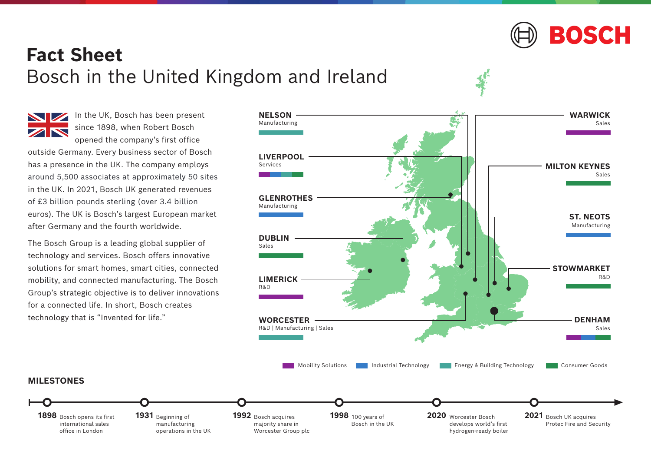

## **Fact Sheet** Bosch in the United Kingdom and Ireland

**MILESTONES**

international sales office in London

In the UK, Bosch has been present since 1898, when Robert Bosch opened the company's first office

outside Germany. Every business sector of Bosch has a presence in the UK. The company employs in the UK. In 2021, Bosch UK generated revenues euros). The UK is Bosch's largest European market after Germany and the fourth worldwide. around 5,500 associates at approximately 50 sites of £3 billion pounds sterling (over 3.4 billion

The Bosch Group is a leading global supplier of technology and services. Bosch offers innovative solutions for smart homes, smart cities, connected mobility, and connected manufacturing. The Bosch Group's strategic objective is to deliver innovations for a connected life. In short, Bosch creates technology that is "Invented for life."

> 1931 Beginning of manufacturing operations in the UK